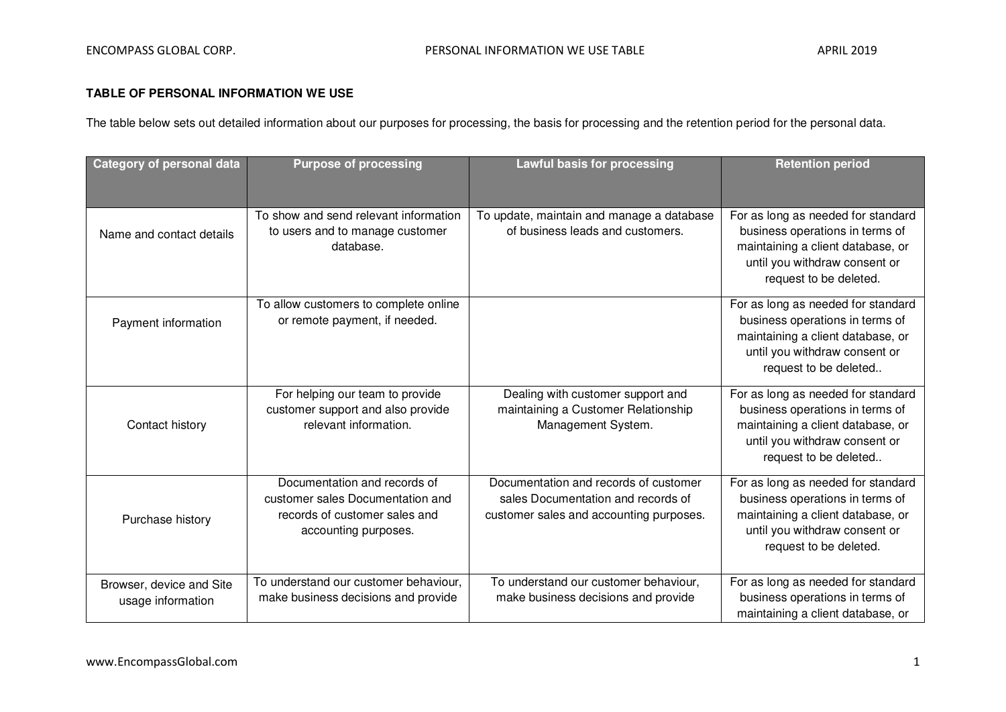## **TABLE OF PERSONAL INFORMATION WE USE**

The table below sets out detailed information about our purposes for processing, the basis for processing and the retention period for the personal data.

| <b>Category of personal data</b>              | <b>Purpose of processing</b>                                                                                              | <b>Lawful basis for processing</b>                                                                                     | <b>Retention period</b>                                                                                                                                               |
|-----------------------------------------------|---------------------------------------------------------------------------------------------------------------------------|------------------------------------------------------------------------------------------------------------------------|-----------------------------------------------------------------------------------------------------------------------------------------------------------------------|
|                                               |                                                                                                                           |                                                                                                                        |                                                                                                                                                                       |
| Name and contact details                      | To show and send relevant information<br>to users and to manage customer<br>database.                                     | To update, maintain and manage a database<br>of business leads and customers.                                          | For as long as needed for standard<br>business operations in terms of<br>maintaining a client database, or<br>until you withdraw consent or<br>request to be deleted. |
| Payment information                           | To allow customers to complete online<br>or remote payment, if needed.                                                    |                                                                                                                        | For as long as needed for standard<br>business operations in terms of<br>maintaining a client database, or<br>until you withdraw consent or<br>request to be deleted  |
| Contact history                               | For helping our team to provide<br>customer support and also provide<br>relevant information.                             | Dealing with customer support and<br>maintaining a Customer Relationship<br>Management System.                         | For as long as needed for standard<br>business operations in terms of<br>maintaining a client database, or<br>until you withdraw consent or<br>request to be deleted  |
| Purchase history                              | Documentation and records of<br>customer sales Documentation and<br>records of customer sales and<br>accounting purposes. | Documentation and records of customer<br>sales Documentation and records of<br>customer sales and accounting purposes. | For as long as needed for standard<br>business operations in terms of<br>maintaining a client database, or<br>until you withdraw consent or<br>request to be deleted. |
| Browser, device and Site<br>usage information | To understand our customer behaviour,<br>make business decisions and provide                                              | To understand our customer behaviour,<br>make business decisions and provide                                           | For as long as needed for standard<br>business operations in terms of<br>maintaining a client database, or                                                            |